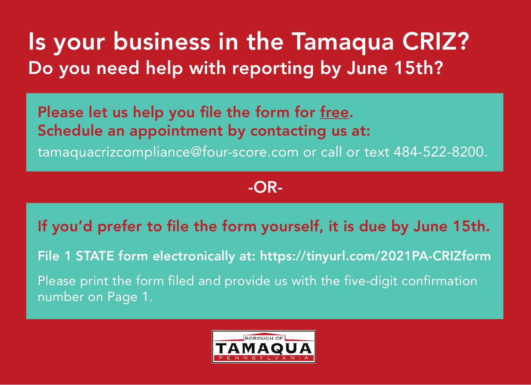## Is your business in the Tamaqua CRIZ? Do you need help with reporting by June 15th?

Please let us help you file the form for free. Schedule an appointment by contacting us at: tamaquacrizcompliance@four-score.com or call or text 484-522-8200.

## -OR-

If you'd prefer to file the form yourself, it is due by June 15th.

File 1 STATE form electronically at: https://tinyurl.com/2021PA-CRIZform

Please print the form filed and provide us with the five-digit confirmation number on Page 1.